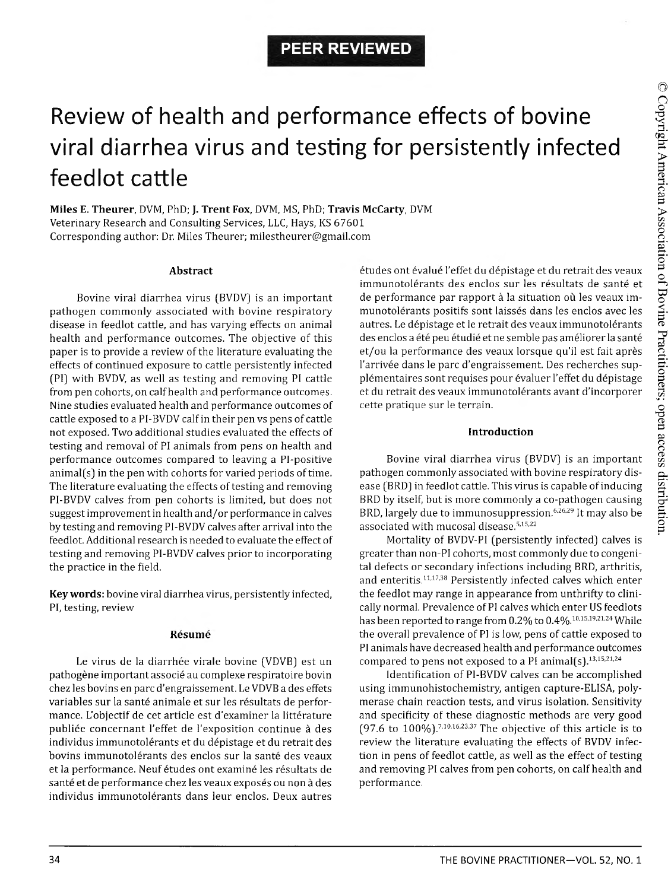# Review of health and performance effects of bovine viral diarrhea virus and testing for persistently infected feedlot cattle

**Miles E. Theurer,** DVM, PhD; J. **Trent Fox,** DVM, MS, PhD; **Travis McCarty,** DVM Veterinary Research and Consulting Services, LLC, Hays, KS 67601 Corresponding author: Dr. Miles Theurer; [milestheurer@gmail.com](mailto:milestheurer@gmail.com)

#### **Abstract**

Bovine viral diarrhea virus (BVDV) is an important pathogen commonly associated with bovine respiratory disease in feedlot cattle, and has varying effects on animal health and performance outcomes. The objective of this paper is to provide a review of the literature evaluating the effects of continued exposure to cattle persistently infected (PI) with BVDV, as well as testing and removing PI cattle from pen cohorts, on calf health and performance outcomes. Nine studies evaluated health and performance outcomes of cattle exposed to a PI-BVDV calf in their pen vs pens of cattle not exposed. Two additional studies evaluated the effects of testing and removal of PI animals from pens on health and performance outcomes compared to leaving a Pi-positive animal(s) in the pen with cohorts for varied periods of time. The literature evaluating the effects of testing and removing PI-BVDV calves from pen cohorts is limited, but does not suggest improvement in health and/or performance in calves by testing and removing PI-BVDV calves after arrival into the feedlot. Additional research is needed to evaluate the effect of testing and removing PI-BVDV calves prior to incorporating the practice in the field.

**Key words:** bovine viral diarrhea virus, persistently infected, PI, testing, review

### **Resume**

Le virus de la diarrhée virale bovine (VDVB) est un pathogene important associe au complexe respiratoire bovin chez les bovins en pare d'engraissement. Le VDVB a des effets variables sur la santé animale et sur les résultats de performance. L'objectif de cet article est d'examiner la littérature publiée concernant l'effet de l'exposition continue à des individus immunotolerants et du depistage et du retrait des bovins immunotolérants des enclos sur la santé des veaux et la performance. Neuf études ont examiné les résultats de santé et de performance chez les veaux exposés ou non à des individus immunotolérants dans leur enclos. Deux autres

études ont évalué l'effet du dépistage et du retrait des veaux immunotolérants des enclos sur les résultats de santé et de performance par rapport à la situation où les veaux immunotolérants positifs sont laissés dans les enclos avec les autres. Le dépistage et le retrait des veaux immunotolérants des enclos a été peu étudié et ne semble pas améliorer la santé et/ou la performance des veaux lorsque qu'il est fait apres l'arrivée dans le parc d'engraissement. Des recherches supplémentaires sont requises pour évaluer l'effet du dépistage et du retrait des veaux immunotolérants avant d'incorporer cette pratique sur le terrain.

# **Introduction**

Bovine viral diarrhea virus (BVDV) is an important pathogen commonly associated with bovine respiratory disease (BRD) in feedlot cattle. This virus is capable of inducing BRD by itself, but is more commonly a co-pathogen causing BRD, largely due to immunosuppression.6,26,29 It may also be associated with mucosal disease.5,15,22

Mortality of BVDV-PI (persistently infected) calves is greater than non-PI cohorts, most commonly due to congenital defects or secondary infections including BRD, arthritis, and enteritis.11,17,38 Persistently infected calves which enter the feedlot may range in appearance from unthrifty to clinically normal. Prevalence of PI calves which enter US feedlots has been reported to range from 0.2% to 0.4%.10,15,19,21,24 While the overall prevalence of PI is low, pens of cattle exposed to PI animals have decreased health and performance outcomes compared to pens not exposed to a PI animal(s).<sup>13,15,21,24</sup>

Identification of PI-BVDV calves can be accomplished using immunohistochemistry, antigen capture-ELISA, polymerase chain reaction tests, and virus isolation. Sensitivity and specificity of these diagnostic methods are very good (97.6 to  $100\%$ ).<sup>7,10,16,23,37</sup> The objective of this article is to review the literature evaluating the effects of BVDV infection in pens of feedlot cattle, as well as the effect of testing and removing PI calves from pen cohorts, on calf health and performance.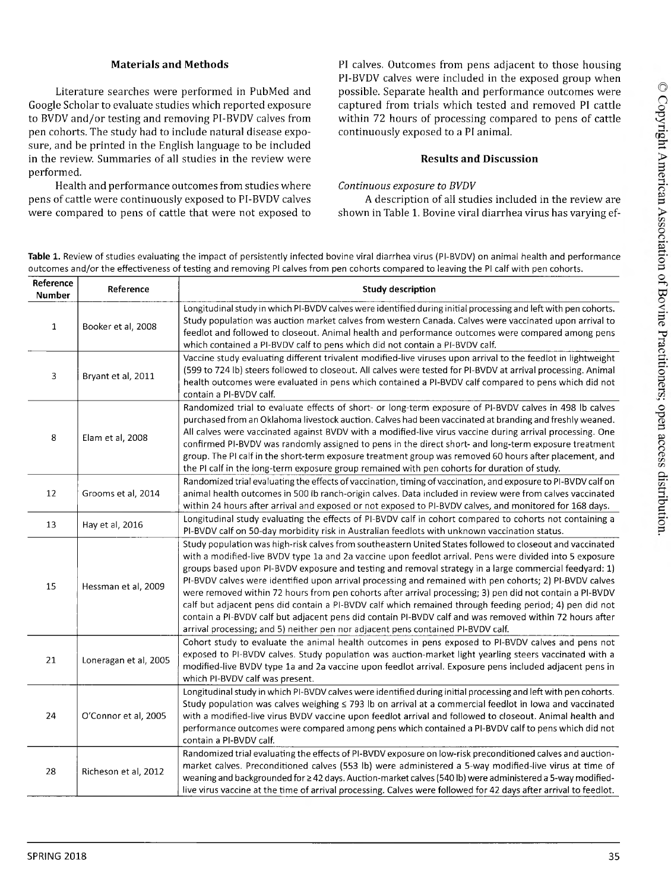## **Materials and Methods**

Literature searches were performed in PubMed and Google Scholar to evaluate studies which reported exposure to BVDV and/or testing and removing PI-BVDV calves from pen cohorts. The study had to include natural disease exposure, and be printed in the English language to be included in the review. Summaries of all studies in the review were performed.

Health and performance outcomes from studies where pens of cattle were continuously exposed to PI-BVDV calves were compared to pens of cattle that were not exposed to PI calves. Outcomes from pens adjacent to those housing PI-BVDV calves were included in the exposed group when possible. Separate health and performance outcomes were captured from trials which tested and removed PI cattle within 72 hours of processing compared to pens of cattle continuously exposed to a PI animal.

# **Results and Discussion**

*Continuous exposure to BVDV*

A description of all studies included in the review are shown in Table 1. Bovine viral diarrhea virus has varying ef-

Table 1. Review of studies evaluating the impact of persistently infected bovine viral diarrhea virus (PI-BVDV) on animal health and performance outcomes and/or the effectiveness of testing and removing PI calves from pen cohorts compared to leaving the PI calf with pen cohorts.

| Reference<br><b>Number</b> | Reference             | <b>Study description</b>                                                                                                                                                                                                                                                                                                                                                                                                                                                                                                                                                                                                                                                                                                                                                                                                                                         |  |  |
|----------------------------|-----------------------|------------------------------------------------------------------------------------------------------------------------------------------------------------------------------------------------------------------------------------------------------------------------------------------------------------------------------------------------------------------------------------------------------------------------------------------------------------------------------------------------------------------------------------------------------------------------------------------------------------------------------------------------------------------------------------------------------------------------------------------------------------------------------------------------------------------------------------------------------------------|--|--|
| $\mathbf{1}$               | Booker et al, 2008    | Longitudinal study in which PI-BVDV calves were identified during initial processing and left with pen cohorts.<br>Study population was auction market calves from western Canada. Calves were vaccinated upon arrival to<br>feedlot and followed to closeout. Animal health and performance outcomes were compared among pens<br>which contained a PI-BVDV calf to pens which did not contain a PI-BVDV calf.                                                                                                                                                                                                                                                                                                                                                                                                                                                   |  |  |
| 3                          | Bryant et al, 2011    | Vaccine study evaluating different trivalent modified-live viruses upon arrival to the feedlot in lightweight<br>(599 to 724 lb) steers followed to closeout. All calves were tested for PI-BVDV at arrival processing. Animal<br>health outcomes were evaluated in pens which contained a PI-BVDV calf compared to pens which did not<br>contain a PI-BVDV calf.                                                                                                                                                                                                                                                                                                                                                                                                                                                                                                |  |  |
| 8                          | Elam et al, 2008      | Randomized trial to evaluate effects of short- or long-term exposure of PI-BVDV calves in 498 lb calves<br>purchased from an Oklahoma livestock auction. Calves had been vaccinated at branding and freshly weaned.<br>All calves were vaccinated against BVDV with a modified-live virus vaccine during arrival processing. One<br>confirmed PI-BVDV was randomly assigned to pens in the direct short- and long-term exposure treatment<br>group. The PI calf in the short-term exposure treatment group was removed 60 hours after placement, and<br>the PI calf in the long-term exposure group remained with pen cohorts for duration of study.                                                                                                                                                                                                             |  |  |
| 12                         | Grooms et al, 2014    | Randomized trial evaluating the effects of vaccination, timing of vaccination, and exposure to PI-BVDV calf on<br>animal health outcomes in 500 lb ranch-origin calves. Data included in review were from calves vaccinated<br>within 24 hours after arrival and exposed or not exposed to PI-BVDV calves, and monitored for 168 days.                                                                                                                                                                                                                                                                                                                                                                                                                                                                                                                           |  |  |
| 13                         | Hay et al, 2016       | Longitudinal study evaluating the effects of PI-BVDV calf in cohort compared to cohorts not containing a<br>PI-BVDV calf on 50-day morbidity risk in Australian feedlots with unknown vaccination status.                                                                                                                                                                                                                                                                                                                                                                                                                                                                                                                                                                                                                                                        |  |  |
| 15                         | Hessman et al, 2009   | Study population was high-risk calves from southeastern United States followed to closeout and vaccinated<br>with a modified-live BVDV type 1a and 2a vaccine upon feedlot arrival. Pens were divided into 5 exposure<br>groups based upon PI-BVDV exposure and testing and removal strategy in a large commercial feedyard: 1)<br>PI-BVDV calves were identified upon arrival processing and remained with pen cohorts; 2) PI-BVDV calves<br>were removed within 72 hours from pen cohorts after arrival processing; 3) pen did not contain a PI-BVDV<br>calf but adjacent pens did contain a PI-BVDV calf which remained through feeding period; 4) pen did not<br>contain a PI-BVDV calf but adjacent pens did contain PI-BVDV calf and was removed within 72 hours after<br>arrival processing; and 5) neither pen nor adjacent pens contained PI-BVDV calf. |  |  |
| 21                         | Loneragan et al, 2005 | Cohort study to evaluate the animal health outcomes in pens exposed to PI-BVDV calves and pens not<br>exposed to PI-BVDV calves. Study population was auction-market light yearling steers vaccinated with a<br>modified-live BVDV type 1a and 2a vaccine upon feedlot arrival. Exposure pens included adjacent pens in<br>which PI-BVDV calf was present.                                                                                                                                                                                                                                                                                                                                                                                                                                                                                                       |  |  |
| 24                         | O'Connor et al, 2005  | Longitudinal study in which PI-BVDV calves were identified during initial processing and left with pen cohorts.<br>Study population was calves weighing ≤ 793 lb on arrival at a commercial feedlot in lowa and vaccinated<br>with a modified-live virus BVDV vaccine upon feedlot arrival and followed to closeout. Animal health and<br>performance outcomes were compared among pens which contained a PI-BVDV calf to pens which did not<br>contain a PI-BVDV calf.                                                                                                                                                                                                                                                                                                                                                                                          |  |  |
| 28                         | Richeson et al, 2012  | Randomized trial evaluating the effects of PI-BVDV exposure on low-risk preconditioned calves and auction-<br>market calves. Preconditioned calves (553 lb) were administered a 5-way modified-live virus at time of<br>weaning and backgrounded for ≥ 42 days. Auction-market calves (540 lb) were administered a 5-way modified-<br>live virus vaccine at the time of arrival processing. Calves were followed for 42 days after arrival to feedlot.                                                                                                                                                                                                                                                                                                                                                                                                           |  |  |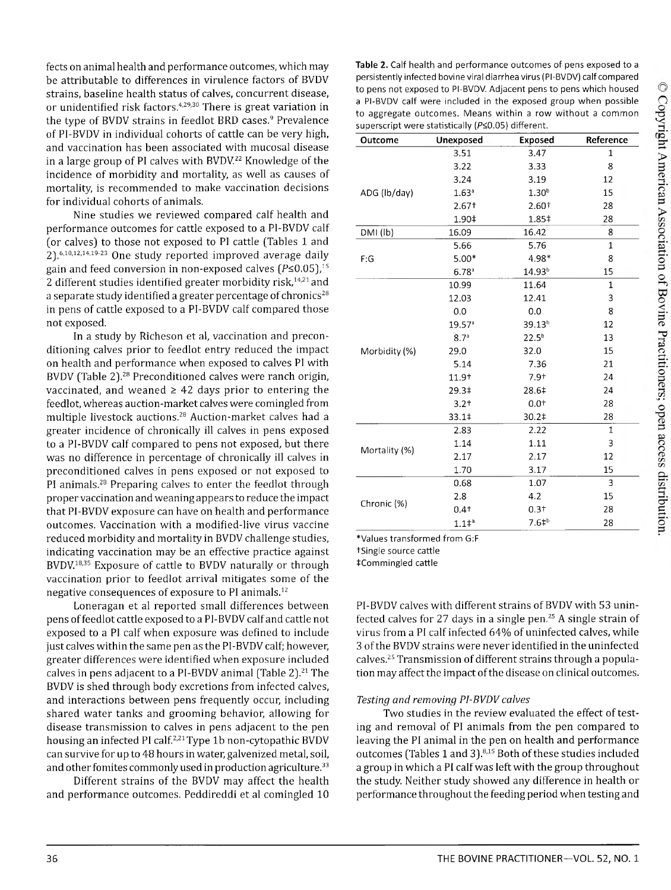fects on animal health and performance outcomes, which may be attributable to differences in virulence factors of BVDV strains, baseline health status of calves, concurrent disease, or unidentified risk factors.<sup>4,29,30</sup> There is great variation in the type of BVDV strains in feedlot BRD cases.<sup>9</sup> Prevalence of PI-BVDV in individual cohorts of cattle can be very high, and vaccination has been associated with mucosal disease in a large group of PI calves with BVDV.<sup>22</sup> Knowledge of the incidence of morbidity and mortality, as well as causes of mortality, is recommended to make vaccination decisions for individual cohorts of animals.

Nine studies we reviewed compared calf health and performance outcomes for cattle exposed to a PI-BVDV calf (or calves) to those not exposed to PI cattle (Tables 1 and 2).<sup>6,10,12,14,19-23</sup> One study reported improved average daily gain and feed conversion in non-exposed calves ( $P \le 0.05$ ),<sup>15</sup> 2 different studies identified greater morbidity risk, $14,21$  and a separate study identified a greater percentage of chronics<sup>28</sup> in pens of cattle exposed to a PI-BVDV calf compared those not exposed.

In a study by Richeson et al, vaccination and preconditioning calves prior to feedlot entry reduced the impact on health and performance when exposed to calves PI with BVDV (Table 2).28 Preconditioned calves were ranch origin, vaccinated, and weaned  $\geq$  42 days prior to entering the feedlot, whereas auction-market calves were comingled from multiple livestock auctions.28 Auction-market calves had a greater incidence of chronically ill calves in pens exposed to a PI-BVDV calf compared to pens not exposed, but there was no difference in percentage of chronically ill calves in preconditioned calves in pens exposed or not exposed to PI animals.28 Preparing calves to enter the feedlot through proper vaccination and weaning appears to reduce the impact that PI-BVDV exposure can have on health and performance outcomes. Vaccination with a modified-live virus vaccine reduced morbidity and mortality in BVDV challenge studies, indicating vaccination may be an effective practice against BVDV.18,35 Exposure of cattle to BVDV naturally or through vaccination prior to feedlot arrival mitigates some of the negative consequences of exposure to PI animals.12

Loneragan et al reported small differences between pens of feedlot cattle exposed to a PI-BVDV calf and cattle not exposed to a PI calf when exposure was defined to include just calves within the same pen as the PI-BVDV calf; however, greater differences were identified when exposure included calves in pens adjacent to a PI-BVDV animal (Table 2).<sup>21</sup> The BVDV is shed through body excretions from infected calves, and interactions between pens frequently occur, including shared water tanks and grooming behavior, allowing for disease transmission to calves in pens adjacent to the pen housing an infected PI calf.<sup>2,21</sup> Type 1b non-cytopathic BVDV can survive for up to 48 hours in water, galvenized metal, soil, and other fomites commonly used in production agriculture.<sup>33</sup>

Different strains of the BVDV may affect the health and performance outcomes. Peddireddi et al comingled 10

**Table 2.** Calf health and performance outcomes of pens exposed to a persistently infected bovine viral diarrhea virus (PI-BVDV) calf compared to pens not exposed to PI-BVDV. Adjacent pens to pens which housed a PI-BVDV calf were included in the exposed group when possible to aggregate outcomes. Means within a row without a common superscript were statistically (P<0.05) different.

| Outcome       | Unexposed           | Exposed            | Reference    |
|---------------|---------------------|--------------------|--------------|
|               | 3.51                | 3.47               | 1            |
|               | 3.22                | 3.33               | 8            |
|               | 3.24                | 3.19               | 12           |
| ADG (lb/day)  | 1.63 <sup>a</sup>   | 1.30 <sup>b</sup>  | 15           |
|               | $2.67+$             | 2.60+              | 28           |
|               | 1.90‡               | 1.85‡              | 28           |
| DMI (lb)      | 16.09               | 16.42              | 8            |
|               | 5.66                | 5.76               | 1            |
| F:G           | $5.00*$             | 4.98*              | 8            |
|               | $6.78$ <sup>a</sup> | 14.93 <sup>b</sup> | 15           |
|               | 10.99               | 11.64              | $\mathbf 1$  |
|               | 12.03               | 12.41              | 3            |
|               | 0.0                 | 0.0                | 8            |
|               | 19.57 <sup>a</sup>  | 39.13 <sup>b</sup> | 12           |
|               | 8.7 <sup>a</sup>    | $22.5^{b}$         | 13           |
| Morbidity (%) | 29.0                | 32.0               | 15           |
|               | 5.14                | 7.36               | 21           |
|               | 11.9+               | $7.9+$             | 24           |
|               | 29.3‡               | 28.6‡              | 24           |
|               | $3.2 +$             | $0.0^{+}$          | 28           |
|               | 33.1‡               | 30.2‡              | 28           |
|               | 2.83                | 2.22               | $\mathbf{1}$ |
|               | 1.14                | 1.11               | 3            |
| Mortality (%) | 2.17                | 2.17               | 12           |
|               | 1.70                | 3.17               | 15           |
|               | 0.68                | 1.07               | 3            |
|               | 2.8                 | 4.2                | 15           |
| Chronic (%)   | $0.4 +$             | $0.3+$             | 28           |
|               | $1.1^{+a}$          | $7.61^{b}$         | 28           |

\*Values transformed from G:F

tSingle source cattle

ICom m ingled cattle

PI-BVDV calves with different strains of BVDV with 53 uninfected calves for 27 days in a single pen.25 A single strain of virus from a PI calf infected 64% of uninfected calves, while 3 of the BVDV strains were never identified in the uninfected calves.25 Transmission of different strains through a population may affect the impact of the disease on clinical outcomes.

#### *Testing and removing PI-BVDV calves*

Two studies in the review evaluated the effect of testing and removal of PI animals from the pen compared to leaving the PI animal in the pen on health and performance outcomes (Tables 1 and 3).815 Both of these studies included a group in which a PI calf was left with the group throughout the study. Neither study showed any difference in health or performance throughout the feeding period when testing and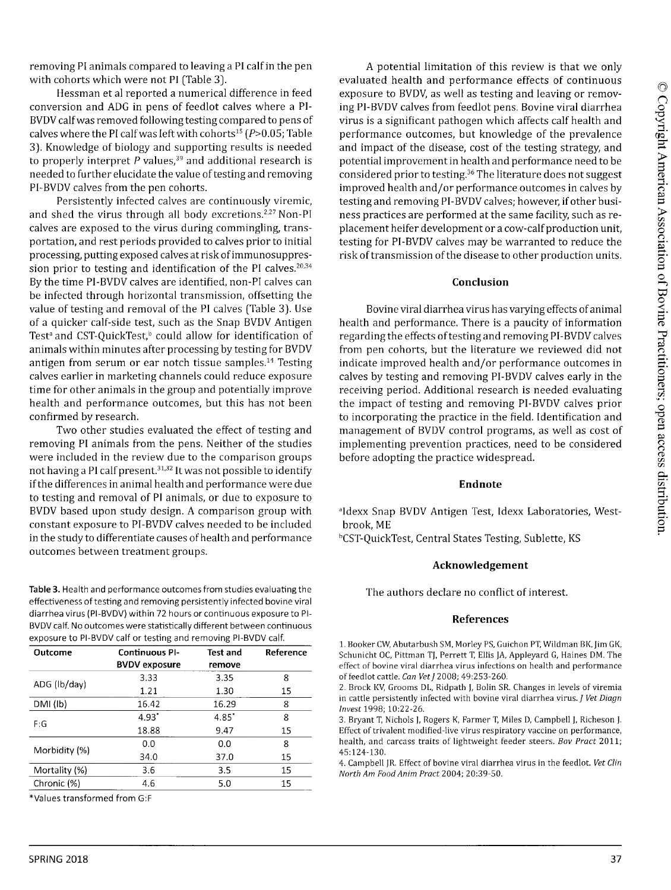removing PI animals compared to leaving a PI calf in the pen with cohorts which were not PI (Table 3).

Hessman et al reported a numerical difference in feed conversion and ADG in pens of feedlot calves where a PI-BVDV calf was removed following testing compared to pens of calves where the PI calf was left with cohorts<sup>15</sup> ( $P > 0.05$ ; Table 3). Knowledge of biology and supporting results is needed to properly interpret  $P$  values,<sup>39</sup> and additional research is needed to further elucidate the value of testing and removing PI-BVDV calves from the pen cohorts.

Persistently infected calves are continuously viremic, and shed the virus through all body excretions.<sup>2,27</sup> Non-PI calves are exposed to the virus during commingling, transportation, and rest periods provided to calves prior to initial processing, putting exposed calves at risk of immunosuppression prior to testing and identification of the PI calves.<sup>20,34</sup> By the time PI-BVDV calves are identified, non-PI calves can be infected through horizontal transmission, offsetting the value of testing and removal of the PI calves (Table 3). Use of a quicker calf-side test, such as the Snap BVDV Antigen Test<sup>a</sup> and CST-QuickTest,<sup>b</sup> could allow for identification of animals within minutes after processing by testing for BVDV antigen from serum or ear notch tissue samples.14 Testing calves earlier in marketing channels could reduce exposure time for other animals in the group and potentially improve health and performance outcomes, but this has not been confirmed by research.

Two other studies evaluated the effect of testing and removing PI animals from the pens. Neither of the studies were included in the review due to the comparison groups not having a PI calf present.<sup>31,32</sup> It was not possible to identify if the differences in animal health and performance were due to testing and removal of PI animals, or due to exposure to BVDV based upon study design. A comparison group with constant exposure to PI-BVDV calves needed to be included in the study to differentiate causes of health and performance outcomes between treatment groups.

**Table 3.** Health and performance outcomes from studies evaluating the effectiveness of testing and removing persistently infected bovine viral diarrhea virus (PI-BVDV) within 72 hours or continuous exposure to PI-BVDV calf. No outcomes were statistically different between continuous exposure to PI-BVDV calf or testing and removing PI-BVDV calf.

| Outcome        | <b>Continuous PI-</b> | Test and | Reference |
|----------------|-----------------------|----------|-----------|
|                | <b>BVDV</b> exposure  | remove   |           |
| ADG (lb/day)   | 3.33                  | 3.35     | 8         |
|                | 1.21                  | 1.30     | 15        |
| $DMI$ ( $Ib$ ) | 16.42                 | 16.29    | 8         |
| F:G            | $4.93^*$              | 4.85"    | 8         |
|                | 18.88                 | 9.47     | 15        |
| Morbidity (%)  | 0.0                   | 0.0      | 8         |
|                | 34.0                  | 37.0     | 15        |
| Mortality (%)  | 3.6                   | 3.5      | 15        |
| Chronic (%)    | 4.6                   | 5.0      | 15        |

\*Values transformed from G:F

A potential limitation of this review is that we only evaluated health and performance effects of continuous exposure to BVDV, as well as testing and leaving or removing PI-BVDV calves from feedlot pens. Bovine viral diarrhea virus is a significant pathogen which affects calf health and performance outcomes, but knowledge of the prevalence and impact of the disease, cost of the testing strategy, and potential improvement in health and performance need to be considered prior to testing.<sup>36</sup> The literature does not suggest improved health and/or performance outcomes in calves by testing and removing PI-BVDV calves; however, if other business practices are performed at the same facility, such as replacement heifer development or a cow-calf production unit, testing for PI-BVDV calves may be warranted to reduce the risk of transmission of the disease to other production units.

# **Conclusion**

Bovine viral diarrhea virus has varying effects of animal health and performance. There is a paucity of information regarding the effects of testing and removing PI-BVDV calves from pen cohorts, but the literature we reviewed did not indicate improved health and/or performance outcomes in calves by testing and removing PI-BVDV calves early in the receiving period. Additional research is needed evaluating the impact of testing and removing PI-BVDV calves prior to incorporating the practice in the field. Identification and management of BVDV control programs, as well as cost of implementing prevention practices, need to be considered before adopting the practice widespread.

# **Endnote**

<sup>a</sup>Idexx Snap BVDV Antigen Test, Idexx Laboratories, Westbrook, ME bCST-QuickTest, Central States Testing, Sublette, KS

# **Acknowledgement**

The authors declare no conflict of interest.

# **References**

**1. Booker CW, Abutarbush SM, Morley PS, Guichon PT, Wildman BK, Jim GK, Schunicht OC, Pittman TJ, Perrett T, Ellis JA, Appleyard G, Haines DM. The effect of bovine viral diarrhea virus infections on health and performance of feedlot cattle.** *Can Vet J* **2008; 49:253-260.**

**2. Brock KV, Grooms DL, Ridpath J, Bolin SR. Changes in levels of viremia in cattle persistently infected with bovine viral diarrhea virus. /** *Vet Diagn Invest* **1998; 10:22-26.**

**3. Bryant T, Nichols J, Rogers K, Farmer T, Miles D, Campbell J, Richeson J. Effect of trivalent modified-live virus respiratory vaccine on performance, health, and carcass traits of lightweight feeder steers.** *Bov Pract* **2011; 45:124-130.**

**4. Campbell JR. Effect of bovine viral diarrhea virus in the feedlot.** *Vet Clin North Am Food Anim Pract* **2004; 20:39-50.**